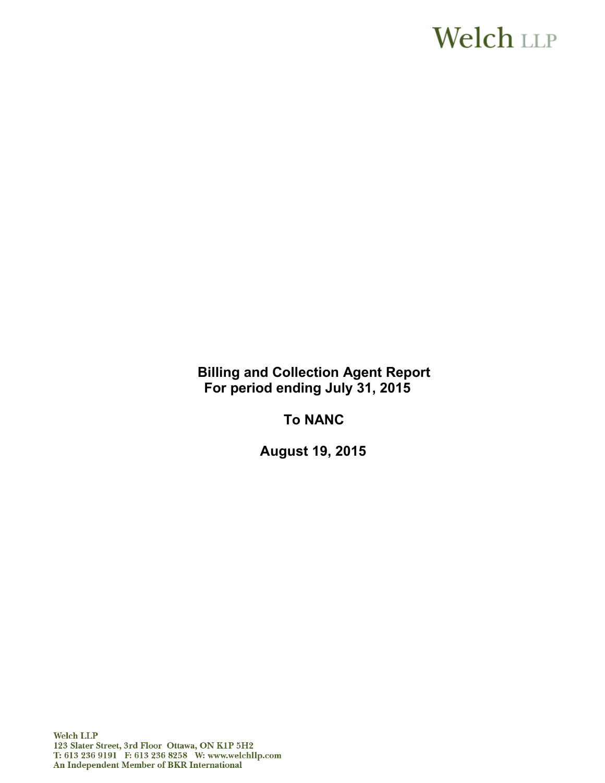# **Welch** LLP

**Billing and Collection Agent Report For period ending July 31, 2015** 

**To NANC**

**August 19, 2015**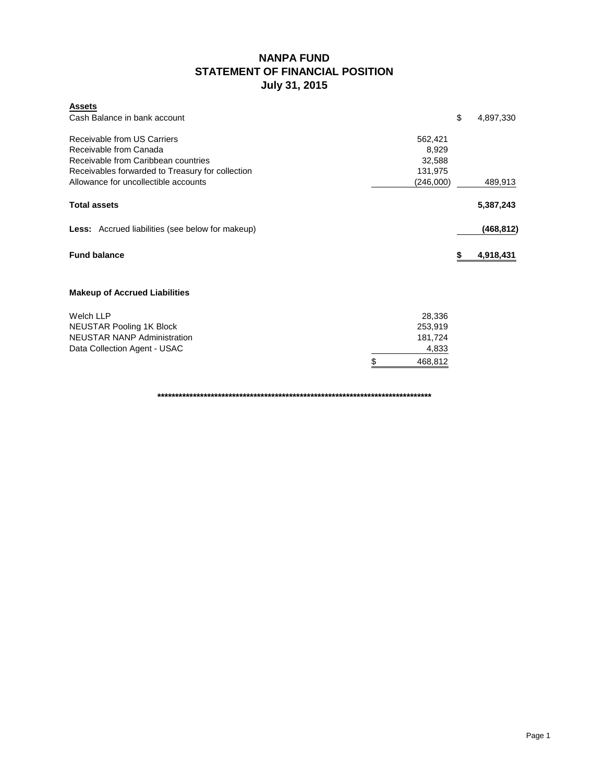# **NANPA FUND STATEMENT OF FINANCIAL POSITION July 31, 2015**

| <b>Assets</b>                                           |               |                 |
|---------------------------------------------------------|---------------|-----------------|
| Cash Balance in bank account                            |               | \$<br>4,897,330 |
| Receivable from US Carriers                             | 562,421       |                 |
| Receivable from Canada                                  | 8,929         |                 |
| Receivable from Caribbean countries                     | 32,588        |                 |
| Receivables forwarded to Treasury for collection        | 131,975       |                 |
| Allowance for uncollectible accounts                    | (246,000)     | 489,913         |
| <b>Total assets</b>                                     |               | 5,387,243       |
| <b>Less:</b> Accrued liabilities (see below for makeup) |               | (468, 812)      |
| <b>Fund balance</b>                                     |               | \$<br>4,918,431 |
| <b>Makeup of Accrued Liabilities</b>                    |               |                 |
| <b>Welch LLP</b>                                        | 28,336        |                 |
| <b>NEUSTAR Pooling 1K Block</b>                         | 253,919       |                 |
| <b>NEUSTAR NANP Administration</b>                      | 181,724       |                 |
| Data Collection Agent - USAC                            | 4,833         |                 |
|                                                         | \$<br>468,812 |                 |

**\*\*\*\*\*\*\*\*\*\*\*\*\*\*\*\*\*\*\*\*\*\*\*\*\*\*\*\*\*\*\*\*\*\*\*\*\*\*\*\*\*\*\*\*\*\*\*\*\*\*\*\*\*\*\*\*\*\*\*\*\*\*\*\*\*\*\*\*\*\*\*\*\*\*\*\*\***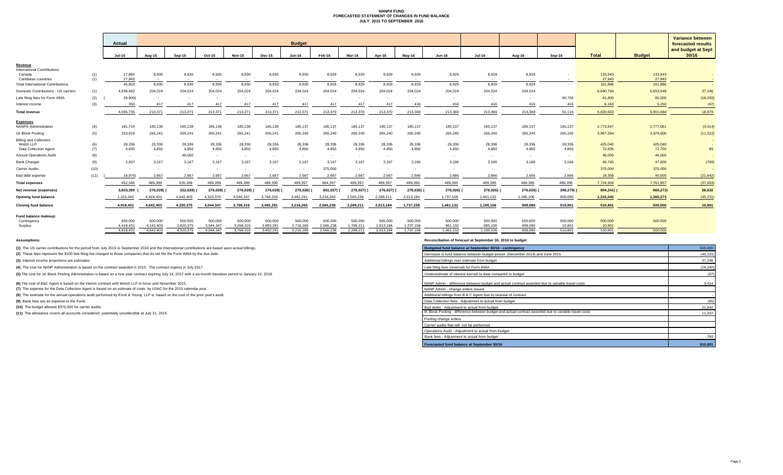# **NANPA FUND FORECASTED STATEMENT OF CHANGES IN FUND BALANCE JULY 2015 TO SEPTEMBER 2016**

|                                                |            | <b>Actual</b>    |               |                 |               |                        |               | <b>Budget</b> |           |               |               |            |               |               |            |                         |                   |                   | <b>Variance between</b>                           |
|------------------------------------------------|------------|------------------|---------------|-----------------|---------------|------------------------|---------------|---------------|-----------|---------------|---------------|------------|---------------|---------------|------------|-------------------------|-------------------|-------------------|---------------------------------------------------|
|                                                |            | <b>Jul-15</b>    | <b>Aug-15</b> | $Sep-15$        | <b>Oct-15</b> | <b>Nov-15</b>          | <b>Dec-15</b> | <b>Jan-16</b> | Feb-16    | <b>Mar-16</b> | <b>Apr-16</b> | May-16     | <b>Jun-16</b> | <b>Jul-16</b> | Aug-16     | Sep-16                  | <b>Total</b>      | <b>Budget</b>     | forecasted results<br>and budget at Sept<br>30/16 |
| Revenue                                        |            |                  |               |                 |               |                        |               |               |           |               |               |            |               |               |            |                         |                   |                   |                                                   |
| <b>International Contributions</b>             |            |                  |               |                 |               |                        |               |               |           |               |               |            |               |               |            |                         |                   |                   |                                                   |
| Canada<br>Caribbean countries                  | (1)<br>(1) | 17,860<br>27,943 | 8,930         | 8,930<br>$\sim$ | 8,930         | 8,930<br>$\sim$ $\sim$ | 8,930         | 8,930         | 8,929     | 8,929         | 8,929         | 8,929      | 8,929         | 8,929         | 8,929      |                         | 133,943<br>27,943 | 133,943<br>27,943 | $\sim$ $-$                                        |
| <b>Total International Contributions</b>       |            | 45,803           | 8,930         | 8,930           | 8,930         | 8,930                  | 8,930         | 8,930         | 8,929     | 8,929         | 8,929         | 8,929      | 8,929         | 8,929         | 8,929      |                         | 161,886           | 161,886           |                                                   |
| Domestic Contributions - US carriers           | (1)        | 4,038,482        | 204,024       | 204,024         | 204,024       | 204,024                | 204,024       | 204,024       | 204,024   | 204,024       | 204,024       | 204,024    | 204,024       | 204,024       | 204,024    |                         | 6,690,794         | 6,653,548         | 37,246                                            |
| Late filing fees for Form 499A                 | (2)        | 28,900)          |               |                 |               |                        |               |               |           |               |               |            |               |               |            | 90,700                  | 61,800            | 80,000            | (18, 200)                                         |
| Interest income                                | (3)        | 350              | 417           | 417             | 417           | 417                    | 417           |               |           | 417           | 417           | 416        | 416           | 416           | 416        | 416                     | 6,183             | 6,250             | (67)                                              |
| <b>Total revenue</b>                           |            | 4,055,735        | 213,371       | 213,371         | 213,371       | 213,371                | 213,371       | 213,371       | 213,370   | 213,370       | 213,370       | 213,369    | 213,369       | 213,369       | 213,369    | 91,116                  | 6,920,663         | 6,901,684         | 18,979                                            |
|                                                |            |                  |               |                 |               |                        |               |               |           |               |               |            |               |               |            |                         |                   |                   |                                                   |
| <b>Expenses</b><br><b>NANPA Administration</b> | (4)        | 181,724          | 185,138       | 185,138         | 185,138       | 185,138                | 185,138       | 185,137       | 185,137   | 185,137       | 185,137       | 185,137    | 185,137       | 185,137       | 185,137    | 185,137                 | 2,773,647         | 2,777,061         | (3, 414)                                          |
| 1K Block Pooling                               | (5)        | 253,919          | 265,241       | 265,241         | 265,241       | 265,241                | 265,241       | 265,240       | 265,240   | 265,240       | 265,240       | 265,240    | 265,240       | 265,240       | 265,240    | 265,240                 | 3,967,284         | 3,978,606         | (11, 322)                                         |
| <b>Billing and Collection</b>                  |            |                  |               |                 |               |                        |               |               |           |               |               |            |               |               |            |                         |                   |                   |                                                   |
| Welch LLP                                      | (6)        | 28,336           | 28,336        | 28,336          | 28,336        | 28,336                 | 28,336        | 28,336        | 28,336    | 28,336        | 28,336        | 28,336     | 28,336        | 28,336        | 28,336     | 28,336                  | 425,040           | 425,040           |                                                   |
| <b>Data Collection Agent</b>                   | (7)        | 4,935            | 4,850         | 4,850           | 4,850         | 4,850                  | 4,850         | 4,850         | 4,850     | 4,850         | 4,850         | 4,850      | 4,850         | 4,850         | 4,850      | 4,850                   | 72,835            | 72,750            | 85                                                |
| <b>Annual Operations Audit</b>                 | (8)        | $\sim$           | $\sim$        | 46,000          | $\sim$        |                        |               |               |           |               |               |            |               |               |            | $\sim$                  | 46,000            | 46,000            |                                                   |
| <b>Bank Charges</b>                            | (9)        | 2,407            | 3,167         | 3,167           | 3,167         | 3,167                  | 3,167         | 3,167         | 3,167     | 3,167         | 3,167         | 3,166      | 3,166         | 3,166         | 3,166      | 3,166                   | 46,740            | 47,500            | (760)                                             |
| <b>Carrier Audits</b>                          | (10)       | $\sim$           |               | $\sim$          |               |                        |               |               | 375,000   |               |               |            |               |               |            | $\sim$                  | 375,000           | 375,000           |                                                   |
| Bad debt expense                               | (11)       | 18.975)          | 2,667         | 2.667           | 2.667         | 2.667                  | 2.667         | 2.667         | 2.667     | 2.667         | 2.667         | 2,666      | 2.666         | 2.666         | 2.666      | 2.666                   | 18,358            | 40,000            | (21, 642)                                         |
| <b>Total expenses</b>                          |            | 452,346          | 489,399       | 535,399         | 489,399       | 489,399                | 489,399       | 489,397       | 864,397   | 489,397       | 489,397       | 489,395    | 489,395       | 489,395       | 489,395    | 489,395                 | 7,724,904         | 7,761,957         | (37,053)                                          |
| Net revenue (expenses)                         |            | 3,603,389        | 276,028)      | 322,028)        | 276,028) (    | 276,028) (             | 276,028) (    | 276,026) (    | 651,027)( | 276,027) (    | 276,027)(     | 276,026) ( | 276,026) (    | 276,026) (    | 276,026) ( | 398,279) <mark>(</mark> | $804,241$ ) (     | 860,273)          | 56,032                                            |
| <b>Opening fund balance</b>                    |            | 1,315,042        | 4,918,431     | 4,642,403       | 4,320,375     | 4,044,347              | 3,768,319     | 3,492,291     | 3,216,265 | 2,565,238     | 2,289,211     | 2,013,184  | 1,737,158     | 1,461,132     | 1,185,106  | 909,080                 | 1,315,042         | 1,360,273         | (45, 231)                                         |
| <b>Closing fund balance</b>                    |            | 4,918,431        | 4,642,403     | 4,320,375       | 4,044,347     | 3,768,319              | 3,492,291     | 3,216,265     | 2,565,238 | 2,289,211     | 2,013,184     | 1,737,158  | 1,461,132     | 1,185,106     | 909,080    | 510,801                 | 510,801           | 500,000           | 10,801                                            |
| <b>Fund balance makeup:</b>                    |            |                  |               |                 |               |                        |               |               |           |               |               |            |               |               |            |                         |                   |                   |                                                   |
| Contingency                                    |            | 500,000          | 500,000       | 500,000         | 500,000       | 500,000                | 500,000       | 500,000       | 500,000   | 500,000       | 500,000       | 500,000    | 500,000       | 500,000       | 500,000    | 500,000                 | 500,000           | 500,000           |                                                   |
| Surplus                                        |            | 4,418,431        | 4,142,403     | 3,820,375       | 3,544,347     | 3,268,319              | 2,992,291     | 2,716,265     | 2,065,238 | 1,789,211     | 1,513,184     | 1,237,158  | 961,132       | 685,106       | 409,080    | 10,801                  | 10,801            | <b>Contract</b>   |                                                   |
|                                                |            | 4,918,431        | 4,642,403     | 4,320,375       | 4,044,347     | 3,768,319              | 3,492,291     | 3,216,265     | 2,565,238 | 2,289,211     | 2,013,184     | 1,737,158  | 1,461,132     | 1,185,106     | 909,080    | 510,801                 | 510,801           | 500,000           |                                                   |

**Assumptions: Reconciliation of forecast at September 30, 2016 to budget**

**(7)** The expense for the Data Collection Agent is based on an estimate of costs by USAC for the 2015 calendar year.

**(8)** The estimate for the annual operations audit performed by Ernst & Young LLP is based on the cost of the prior year's audit.

| Budgeted fund balance at September 30/16 - contingency                                                | 500,000   |
|-------------------------------------------------------------------------------------------------------|-----------|
| Decrease in fund balance between budget period (December 2014) and June 2015                          | (45, 231) |
| Additional billings over estimate from budget                                                         | 37,246    |
| Late filing fees (reversal) for Form 499A                                                             | (18, 200) |
| Underestimate of interest earned to date compared to budget                                           | (67)      |
| NANP Admin - difference between budget and actual contract awarded due to variable travel costs       | 3,414     |
| NANP Admin - change orders issued                                                                     |           |
| Additional billings from B & C Agent due to renewal of contract                                       |           |
| Data Collection fees - Adjustment to actual from budget                                               | (85)      |
| Bad debts - Adjustment to actual from budget                                                          | 21,642    |
| IK Block Pooling - difference between budget and actual contract awarded due to variable travel costs | 11,322    |
| Pooling change orders                                                                                 |           |
| Carrier audits that will not be performed                                                             |           |
| Operations Audit - Adjustment to actual from budget                                                   |           |
| Bank fees - Adjustment to actual from budget                                                          | 760       |
| <b>Forecasted fund balance at September 30/16</b>                                                     | 510,801   |

**(3)** Interest income projections are estimates

**(10)** The budget allowed \$375,000 for carrier audits.

**(1)** The US carrier contributions for the period from July 2015 to September 2016 and the International contributions are based upon actual billings.

(2) These fees represent the \$100 late filing fee charged to those companies that do not file the Form 499A by the due date.

**(4)** The cost for NANP Administration is based on the contract awarded in 2013. The contract expires in July 2017.

(5) The cost for 1K Block Pooling Administration is based on a four-year contract expiring July 14, 2017 with a six-month transition period to January 14, 2018.

**(6)** The cost of B&C Agent is based on the interim contract with Welch LLP in force until November 2015.

**(9)** Bank fees are an expense to the Fund.

**(11)** The allowance covers all accounts considered potentially uncollectible at July 31, 2015.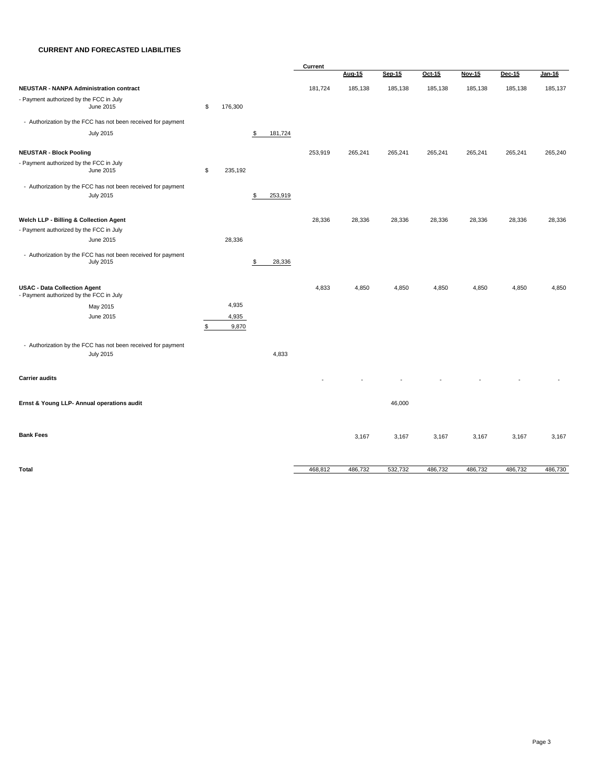# **CURRENT AND FORECASTED LIABILITIES**

|                                                                                  |                            |                |               | <b>Current</b> |               |               |         |               |         |         |
|----------------------------------------------------------------------------------|----------------------------|----------------|---------------|----------------|---------------|---------------|---------|---------------|---------|---------|
|                                                                                  |                            |                |               |                | <b>Aug-15</b> | <b>Sep-15</b> | Oct-15  | <b>Nov-15</b> | Dec-15  | Jan-16  |
| <b>NEUSTAR - NANPA Administration contract</b>                                   |                            |                |               | 181,724        | 185,138       | 185,138       | 185,138 | 185,138       | 185,138 | 185,137 |
| - Payment authorized by the FCC in July<br>June 2015                             | \$                         | 176,300        |               |                |               |               |         |               |         |         |
| - Authorization by the FCC has not been received for payment                     |                            |                |               |                |               |               |         |               |         |         |
| <b>July 2015</b>                                                                 |                            |                | \$<br>181,724 |                |               |               |         |               |         |         |
| <b>NEUSTAR - Block Pooling</b>                                                   |                            |                |               | 253,919        | 265,241       | 265,241       | 265,241 | 265,241       | 265,241 | 265,240 |
| - Payment authorized by the FCC in July                                          |                            |                |               |                |               |               |         |               |         |         |
| June 2015                                                                        | $\boldsymbol{\mathsf{\$}}$ | 235,192        |               |                |               |               |         |               |         |         |
| - Authorization by the FCC has not been received for payment                     |                            |                |               |                |               |               |         |               |         |         |
| <b>July 2015</b>                                                                 |                            |                | \$<br>253,919 |                |               |               |         |               |         |         |
| <b>Welch LLP - Billing &amp; Collection Agent</b>                                |                            |                |               | 28,336         | 28,336        | 28,336        | 28,336  | 28,336        | 28,336  | 28,336  |
| - Payment authorized by the FCC in July                                          |                            |                |               |                |               |               |         |               |         |         |
| June 2015                                                                        |                            | 28,336         |               |                |               |               |         |               |         |         |
| - Authorization by the FCC has not been received for payment<br><b>July 2015</b> |                            |                | \$<br>28,336  |                |               |               |         |               |         |         |
| <b>USAC - Data Collection Agent</b><br>- Payment authorized by the FCC in July   |                            |                |               | 4,833          | 4,850         | 4,850         | 4,850   | 4,850         | 4,850   | 4,850   |
| May 2015                                                                         |                            | 4,935          |               |                |               |               |         |               |         |         |
| June 2015                                                                        | \$                         | 4,935<br>9,870 |               |                |               |               |         |               |         |         |
| - Authorization by the FCC has not been received for payment<br><b>July 2015</b> |                            |                | 4,833         |                |               |               |         |               |         |         |
| <b>Carrier audits</b>                                                            |                            |                |               |                |               |               |         |               |         |         |
| Ernst & Young LLP- Annual operations audit                                       |                            |                |               |                |               | 46,000        |         |               |         |         |
| <b>Bank Fees</b>                                                                 |                            |                |               |                | 3,167         | 3,167         | 3,167   | 3,167         | 3,167   | 3,167   |
| <b>Total</b>                                                                     |                            |                |               | 468,812        | 486,732       | 532,732       | 486,732 | 486,732       | 486,732 | 486,730 |